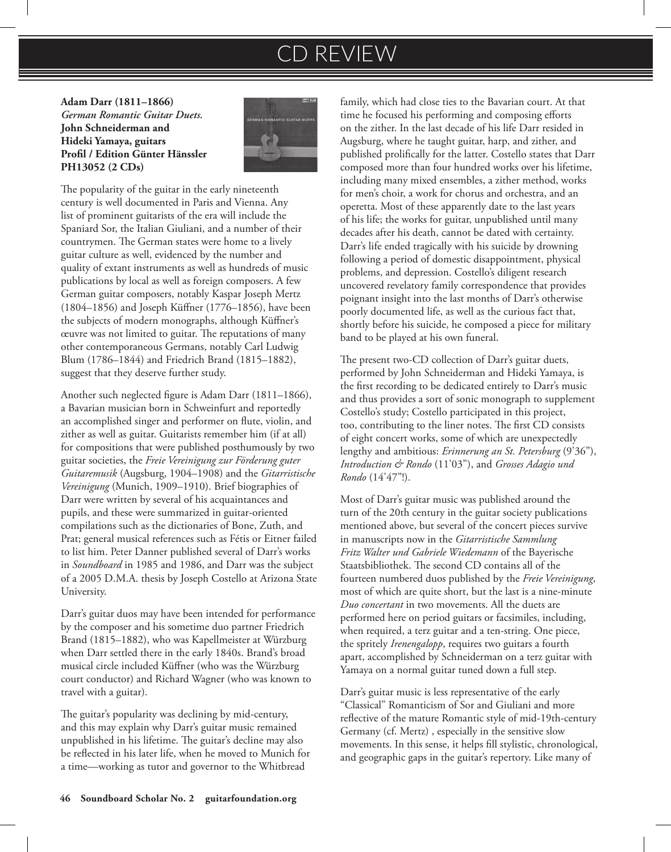# CD REVIEW

**Adam Darr (1811–1866)**  *German Romantic Guitar Duets.* **John Schneiderman and Hideki Yamaya, guitars Profil / Edition Günter Hänssler PH13052 (2 CDs)**



The popularity of the guitar in the early nineteenth century is well documented in Paris and Vienna. Any list of prominent guitarists of the era will include the Spaniard Sor, the Italian Giuliani, and a number of their countrymen. The German states were home to a lively guitar culture as well, evidenced by the number and quality of extant instruments as well as hundreds of music publications by local as well as foreign composers. A few German guitar composers, notably Kaspar Joseph Mertz (1804–1856) and Joseph Küffner (1776–1856), have been the subjects of modern monographs, although Küffner's œuvre was not limited to guitar. The reputations of many other contemporaneous Germans, notably Carl Ludwig Blum (1786–1844) and Friedrich Brand (1815–1882), suggest that they deserve further study.

Another such neglected figure is Adam Darr (1811–1866), a Bavarian musician born in Schweinfurt and reportedly an accomplished singer and performer on flute, violin, and zither as well as guitar. Guitarists remember him (if at all) for compositions that were published posthumously by two guitar societies, the *Freie Vereinigung zur Förderung guter Guitaremusik* (Augsburg, 1904–1908) and the *Gitarristische Vereinigung* (Munich, 1909–1910). Brief biographies of Darr were written by several of his acquaintances and pupils, and these were summarized in guitar-oriented compilations such as the dictionaries of Bone, Zuth, and Prat; general musical references such as Fétis or Eitner failed to list him. Peter Danner published several of Darr's works in *Soundboard* in 1985 and 1986, and Darr was the subject of a 2005 D.M.A. thesis by Joseph Costello at Arizona State University.

Darr's guitar duos may have been intended for performance by the composer and his sometime duo partner Friedrich Brand (1815–1882), who was Kapellmeister at Würzburg when Darr settled there in the early 1840s. Brand's broad musical circle included Küffner (who was the Würzburg court conductor) and Richard Wagner (who was known to travel with a guitar).

The guitar's popularity was declining by mid-century, and this may explain why Darr's guitar music remained unpublished in his lifetime. The guitar's decline may also be reflected in his later life, when he moved to Munich for a time—working as tutor and governor to the Whitbread

family, which had close ties to the Bavarian court. At that time he focused his performing and composing efforts on the zither. In the last decade of his life Darr resided in Augsburg, where he taught guitar, harp, and zither, and published prolifically for the latter. Costello states that Darr composed more than four hundred works over his lifetime, including many mixed ensembles, a zither method, works for men's choir, a work for chorus and orchestra, and an operetta. Most of these apparently date to the last years of his life; the works for guitar, unpublished until many decades after his death, cannot be dated with certainty. Darr's life ended tragically with his suicide by drowning following a period of domestic disappointment, physical problems, and depression. Costello's diligent research uncovered revelatory family correspondence that provides poignant insight into the last months of Darr's otherwise poorly documented life, as well as the curious fact that, shortly before his suicide, he composed a piece for military band to be played at his own funeral.

The present two-CD collection of Darr's guitar duets, performed by John Schneiderman and Hideki Yamaya, is the first recording to be dedicated entirely to Darr's music and thus provides a sort of sonic monograph to supplement Costello's study; Costello participated in this project, too, contributing to the liner notes. The first CD consists of eight concert works, some of which are unexpectedly lengthy and ambitious: *Erinnerung an St. Petersburg* (9'36"), *Introduction & Rondo* (11'03"), and *Grosses Adagio und Rondo* (14'47"!).

Most of Darr's guitar music was published around the turn of the 20th century in the guitar society publications mentioned above, but several of the concert pieces survive in manuscripts now in the *Gitarristische Sammlung Fritz Walter und Gabriele Wiedemann* of the Bayerische Staatsbibliothek. The second CD contains all of the fourteen numbered duos published by the *Freie Vereinigung*, most of which are quite short, but the last is a nine-minute *Duo concertant* in two movements. All the duets are performed here on period guitars or facsimiles, including, when required, a terz guitar and a ten-string. One piece, the spritely *Irenengalopp*, requires two guitars a fourth apart, accomplished by Schneiderman on a terz guitar with Yamaya on a normal guitar tuned down a full step.

Darr's guitar music is less representative of the early "Classical" Romanticism of Sor and Giuliani and more reflective of the mature Romantic style of mid-19th-century Germany (cf. Mertz) , especially in the sensitive slow movements. In this sense, it helps fill stylistic, chronological, and geographic gaps in the guitar's repertory. Like many of